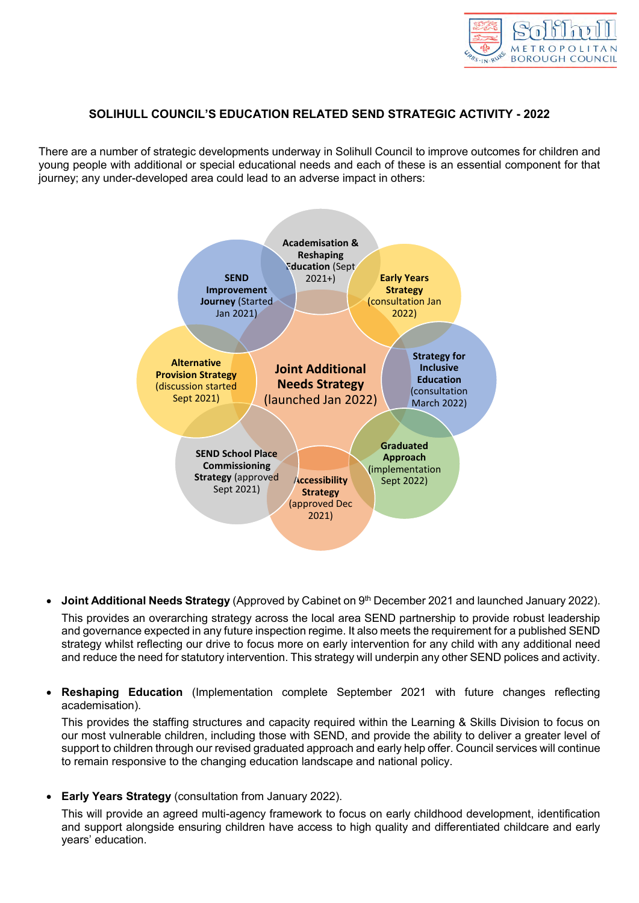

## **SOLIHULL COUNCIL'S EDUCATION RELATED SEND STRATEGIC ACTIVITY - 2022**

There are a number of strategic developments underway in Solihull Council to improve outcomes for children and young people with additional or special educational needs and each of these is an essential component for that journey; any under-developed area could lead to an adverse impact in others:



**Joint Additional Needs Strategy** (Approved by Cabinet on 9<sup>th</sup> December 2021 and launched January 2022).

This provides an overarching strategy across the local area SEND partnership to provide robust leadership and governance expected in any future inspection regime. It also meets the requirement for a published SEND strategy whilst reflecting our drive to focus more on early intervention for any child with any additional need and reduce the need for statutory intervention. This strategy will underpin any other SEND polices and activity.

 **Reshaping Education** (Implementation complete September 2021 with future changes reflecting academisation).

This provides the staffing structures and capacity required within the Learning & Skills Division to focus on our most vulnerable children, including those with SEND, and provide the ability to deliver a greater level of support to children through our revised graduated approach and early help offer. Council services will continue to remain responsive to the changing education landscape and national policy.

**Early Years Strategy** (consultation from January 2022).

This will provide an agreed multi-agency framework to focus on early childhood development, identification and support alongside ensuring children have access to high quality and differentiated childcare and early years' education.